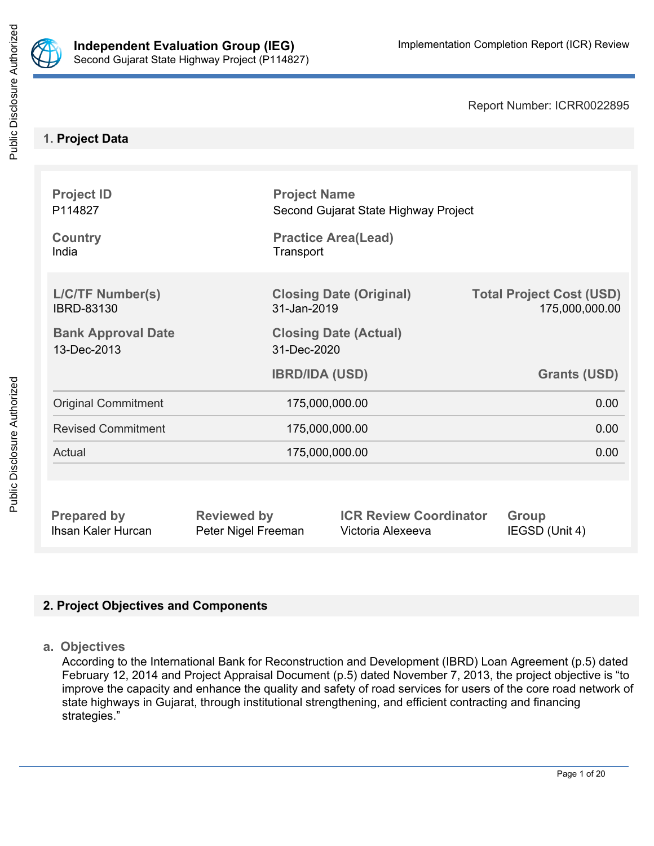

Report Number: ICRR0022895

# **1. Project Data**

| <b>Project ID</b><br>P114827                 |                                               | <b>Project Name</b><br>Second Gujarat State Highway Project |                                                   |  |  |  |
|----------------------------------------------|-----------------------------------------------|-------------------------------------------------------------|---------------------------------------------------|--|--|--|
| <b>Country</b><br>India                      |                                               | <b>Practice Area(Lead)</b><br>Transport                     |                                                   |  |  |  |
| <b>L/C/TF Number(s)</b><br><b>IBRD-83130</b> | <b>Closing Date (Original)</b><br>31-Jan-2019 |                                                             | <b>Total Project Cost (USD)</b><br>175,000,000.00 |  |  |  |
| <b>Bank Approval Date</b><br>13-Dec-2013     | <b>Closing Date (Actual)</b><br>31-Dec-2020   |                                                             |                                                   |  |  |  |
|                                              |                                               |                                                             |                                                   |  |  |  |
|                                              | <b>IBRD/IDA (USD)</b>                         |                                                             | <b>Grants (USD)</b>                               |  |  |  |
| <b>Original Commitment</b>                   |                                               | 175,000,000.00                                              | 0.00                                              |  |  |  |
| <b>Revised Commitment</b>                    |                                               | 175,000,000.00                                              | 0.00                                              |  |  |  |
| Actual                                       |                                               | 175,000,000.00                                              | 0.00                                              |  |  |  |
|                                              |                                               |                                                             |                                                   |  |  |  |

# **2. Project Objectives and Components**

**a. Objectives**

According to the International Bank for Reconstruction and Development (IBRD) Loan Agreement (p.5) dated February 12, 2014 and Project Appraisal Document (p.5) dated November 7, 2013, the project objective is "to improve the capacity and enhance the quality and safety of road services for users of the core road network of state highways in Gujarat, through institutional strengthening, and efficient contracting and financing strategies."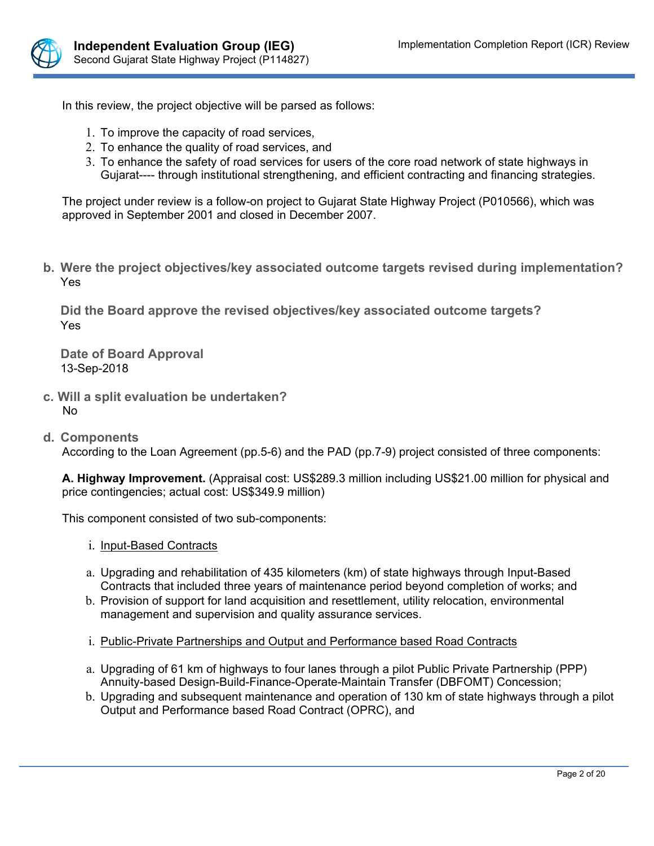

In this review, the project objective will be parsed as follows:

- 1. To improve the capacity of road services,
- 2. To enhance the quality of road services, and
- 3. To enhance the safety of road services for users of the core road network of state highways in Gujarat---- through institutional strengthening, and efficient contracting and financing strategies.

The project under review is a follow-on project to Gujarat State Highway Project (P010566), which was approved in September 2001 and closed in December 2007.

**b. Were the project objectives/key associated outcome targets revised during implementation?** Yes

**Did the Board approve the revised objectives/key associated outcome targets?** Yes

**Date of Board Approval** 13-Sep-2018

- **c. Will a split evaluation be undertaken?** No
- **d. Components**

According to the Loan Agreement (pp.5-6) and the PAD (pp.7-9) project consisted of three components:

**A. Highway Improvement.** (Appraisal cost: US\$289.3 million including US\$21.00 million for physical and price contingencies; actual cost: US\$349.9 million)

This component consisted of two sub-components:

- i. Input-Based Contracts
- a. Upgrading and rehabilitation of 435 kilometers (km) of state highways through Input-Based Contracts that included three years of maintenance period beyond completion of works; and
- b. Provision of support for land acquisition and resettlement, utility relocation, environmental management and supervision and quality assurance services.
- i. Public-Private Partnerships and Output and Performance based Road Contracts
- a. Upgrading of 61 km of highways to four lanes through a pilot Public Private Partnership (PPP) Annuity-based Design-Build-Finance-Operate-Maintain Transfer (DBFOMT) Concession;
- b. Upgrading and subsequent maintenance and operation of 130 km of state highways through a pilot Output and Performance based Road Contract (OPRC), and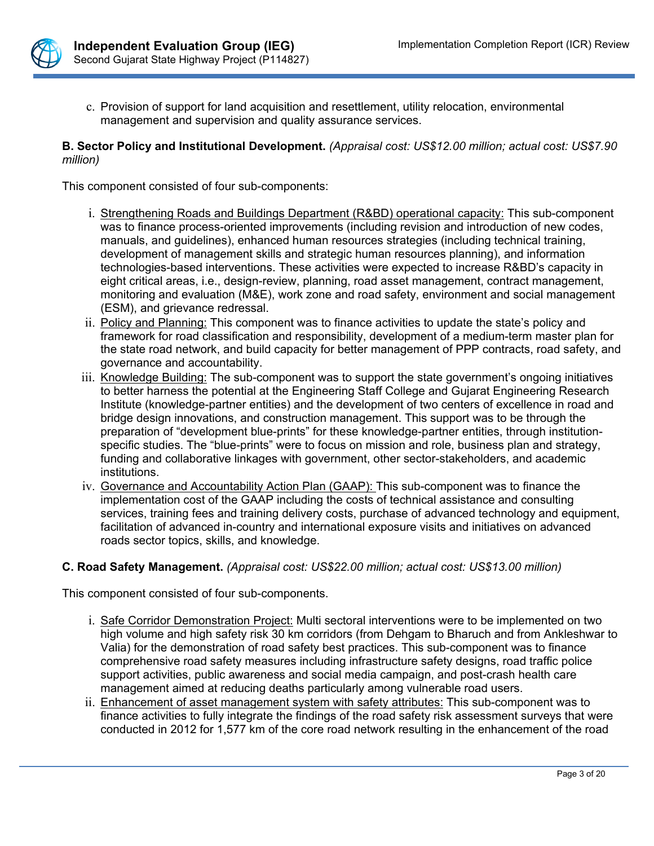

c. Provision of support for land acquisition and resettlement, utility relocation, environmental management and supervision and quality assurance services.

#### **B. Sector Policy and Institutional Development.** *(Appraisal cost: US\$12.00 million; actual cost: US\$7.90 million)*

This component consisted of four sub-components:

- i. Strengthening Roads and Buildings Department (R&BD) operational capacity: This sub-component was to finance process-oriented improvements (including revision and introduction of new codes, manuals, and guidelines), enhanced human resources strategies (including technical training, development of management skills and strategic human resources planning), and information technologies-based interventions. These activities were expected to increase R&BD's capacity in eight critical areas, i.e., design-review, planning, road asset management, contract management, monitoring and evaluation (M&E), work zone and road safety, environment and social management (ESM), and grievance redressal.
- ii. Policy and Planning: This component was to finance activities to update the state's policy and framework for road classification and responsibility, development of a medium-term master plan for the state road network, and build capacity for better management of PPP contracts, road safety, and governance and accountability.
- iii. Knowledge Building: The sub-component was to support the state government's ongoing initiatives to better harness the potential at the Engineering Staff College and Gujarat Engineering Research Institute (knowledge-partner entities) and the development of two centers of excellence in road and bridge design innovations, and construction management. This support was to be through the preparation of "development blue-prints" for these knowledge-partner entities, through institutionspecific studies. The "blue-prints" were to focus on mission and role, business plan and strategy, funding and collaborative linkages with government, other sector-stakeholders, and academic institutions.
- iv. Governance and Accountability Action Plan (GAAP): This sub-component was to finance the implementation cost of the GAAP including the costs of technical assistance and consulting services, training fees and training delivery costs, purchase of advanced technology and equipment, facilitation of advanced in-country and international exposure visits and initiatives on advanced roads sector topics, skills, and knowledge.

#### **C. Road Safety Management.** *(Appraisal cost: US\$22.00 million; actual cost: US\$13.00 million)*

This component consisted of four sub-components.

- i. Safe Corridor Demonstration Project: Multi sectoral interventions were to be implemented on two high volume and high safety risk 30 km corridors (from Dehgam to Bharuch and from Ankleshwar to Valia) for the demonstration of road safety best practices. This sub-component was to finance comprehensive road safety measures including infrastructure safety designs, road traffic police support activities, public awareness and social media campaign, and post-crash health care management aimed at reducing deaths particularly among vulnerable road users.
- ii. Enhancement of asset management system with safety attributes: This sub-component was to finance activities to fully integrate the findings of the road safety risk assessment surveys that were conducted in 2012 for 1,577 km of the core road network resulting in the enhancement of the road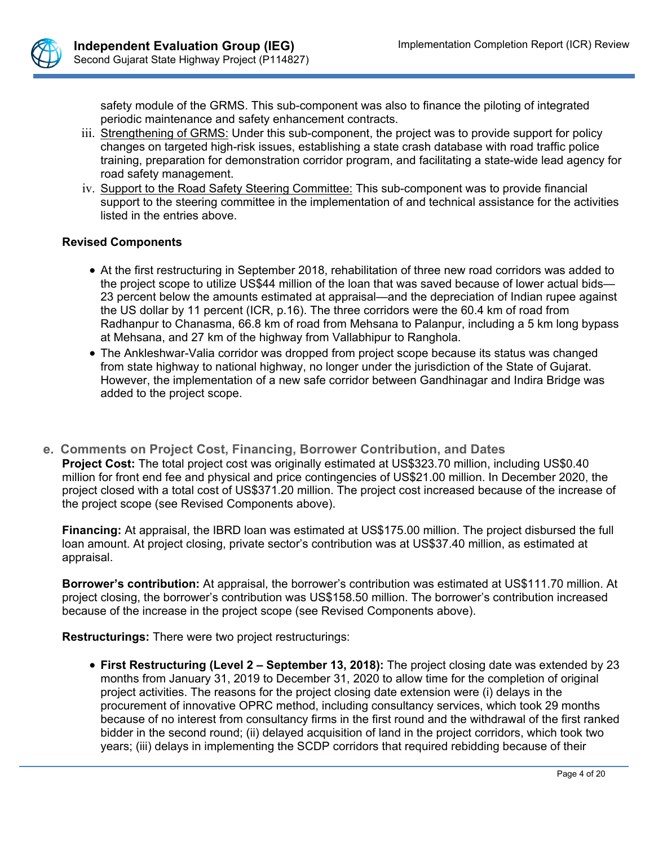

safety module of the GRMS. This sub-component was also to finance the piloting of integrated periodic maintenance and safety enhancement contracts.

- iii. Strengthening of GRMS: Under this sub-component, the project was to provide support for policy changes on targeted high-risk issues, establishing a state crash database with road traffic police training, preparation for demonstration corridor program, and facilitating a state-wide lead agency for road safety management.
- iv. Support to the Road Safety Steering Committee: This sub-component was to provide financial support to the steering committee in the implementation of and technical assistance for the activities listed in the entries above.

## **Revised Components**

- At the first restructuring in September 2018, rehabilitation of three new road corridors was added to the project scope to utilize US\$44 million of the loan that was saved because of lower actual bids— 23 percent below the amounts estimated at appraisal—and the depreciation of Indian rupee against the US dollar by 11 percent (ICR, p.16). The three corridors were the 60.4 km of road from Radhanpur to Chanasma, 66.8 km of road from Mehsana to Palanpur, including a 5 km long bypass at Mehsana, and 27 km of the highway from Vallabhipur to Ranghola.
- The Ankleshwar-Valia corridor was dropped from project scope because its status was changed from state highway to national highway, no longer under the jurisdiction of the State of Gujarat. However, the implementation of a new safe corridor between Gandhinagar and Indira Bridge was added to the project scope.
- **e. Comments on Project Cost, Financing, Borrower Contribution, and Dates Project Cost:** The total project cost was originally estimated at US\$323.70 million, including US\$0.40 million for front end fee and physical and price contingencies of US\$21.00 million. In December 2020, the project closed with a total cost of US\$371.20 million. The project cost increased because of the increase of the project scope (see Revised Components above).

**Financing:** At appraisal, the IBRD loan was estimated at US\$175.00 million. The project disbursed the full loan amount. At project closing, private sector's contribution was at US\$37.40 million, as estimated at appraisal.

**Borrower's contribution:** At appraisal, the borrower's contribution was estimated at US\$111.70 million. At project closing, the borrower's contribution was US\$158.50 million. The borrower's contribution increased because of the increase in the project scope (see Revised Components above).

**Restructurings:** There were two project restructurings:

 **First Restructuring (Level 2 – September 13, 2018):** The project closing date was extended by 23 months from January 31, 2019 to December 31, 2020 to allow time for the completion of original project activities. The reasons for the project closing date extension were (i) delays in the procurement of innovative OPRC method, including consultancy services, which took 29 months because of no interest from consultancy firms in the first round and the withdrawal of the first ranked bidder in the second round; (ii) delayed acquisition of land in the project corridors, which took two years; (iii) delays in implementing the SCDP corridors that required rebidding because of their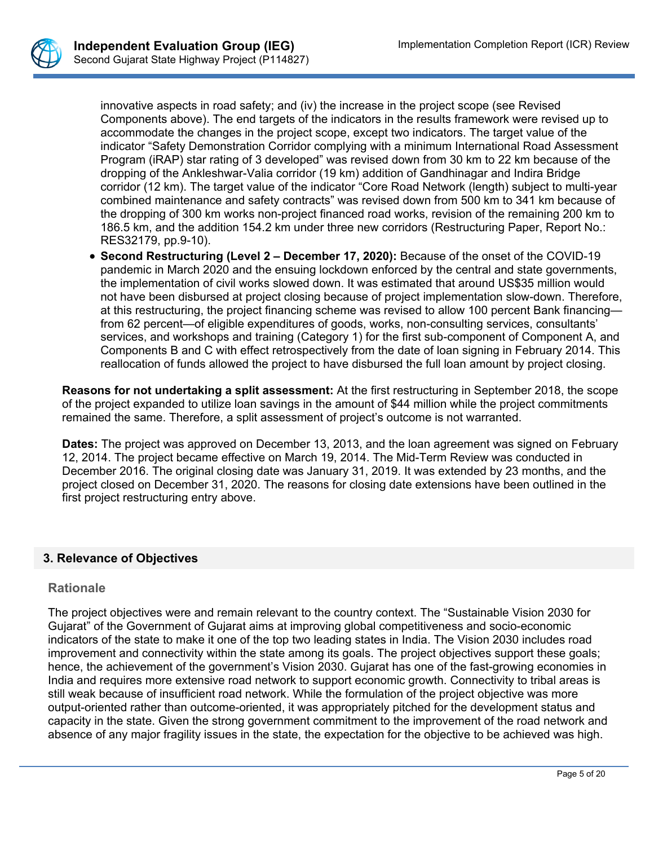

innovative aspects in road safety; and (iv) the increase in the project scope (see Revised Components above). The end targets of the indicators in the results framework were revised up to accommodate the changes in the project scope, except two indicators. The target value of the indicator "Safety Demonstration Corridor complying with a minimum International Road Assessment Program (iRAP) star rating of 3 developed" was revised down from 30 km to 22 km because of the dropping of the Ankleshwar-Valia corridor (19 km) addition of Gandhinagar and Indira Bridge corridor (12 km). The target value of the indicator "Core Road Network (length) subject to multi-year combined maintenance and safety contracts" was revised down from 500 km to 341 km because of the dropping of 300 km works non-project financed road works, revision of the remaining 200 km to 186.5 km, and the addition 154.2 km under three new corridors (Restructuring Paper, Report No.: RES32179, pp.9-10).

 **Second Restructuring (Level 2 – December 17, 2020):** Because of the onset of the COVID-19 pandemic in March 2020 and the ensuing lockdown enforced by the central and state governments, the implementation of civil works slowed down. It was estimated that around US\$35 million would not have been disbursed at project closing because of project implementation slow-down. Therefore, at this restructuring, the project financing scheme was revised to allow 100 percent Bank financing from 62 percent—of eligible expenditures of goods, works, non-consulting services, consultants' services, and workshops and training (Category 1) for the first sub-component of Component A, and Components B and C with effect retrospectively from the date of loan signing in February 2014. This reallocation of funds allowed the project to have disbursed the full loan amount by project closing.

**Reasons for not undertaking a split assessment:** At the first restructuring in September 2018, the scope of the project expanded to utilize loan savings in the amount of \$44 million while the project commitments remained the same. Therefore, a split assessment of project's outcome is not warranted.

**Dates:** The project was approved on December 13, 2013, and the loan agreement was signed on February 12, 2014. The project became effective on March 19, 2014. The Mid-Term Review was conducted in December 2016. The original closing date was January 31, 2019. It was extended by 23 months, and the project closed on December 31, 2020. The reasons for closing date extensions have been outlined in the first project restructuring entry above.

## **3. Relevance of Objectives**

## **Rationale**

The project objectives were and remain relevant to the country context. The "Sustainable Vision 2030 for Gujarat" of the Government of Gujarat aims at improving global competitiveness and socio-economic indicators of the state to make it one of the top two leading states in India. The Vision 2030 includes road improvement and connectivity within the state among its goals. The project objectives support these goals; hence, the achievement of the government's Vision 2030. Gujarat has one of the fast-growing economies in India and requires more extensive road network to support economic growth. Connectivity to tribal areas is still weak because of insufficient road network. While the formulation of the project objective was more output-oriented rather than outcome-oriented, it was appropriately pitched for the development status and capacity in the state. Given the strong government commitment to the improvement of the road network and absence of any major fragility issues in the state, the expectation for the objective to be achieved was high.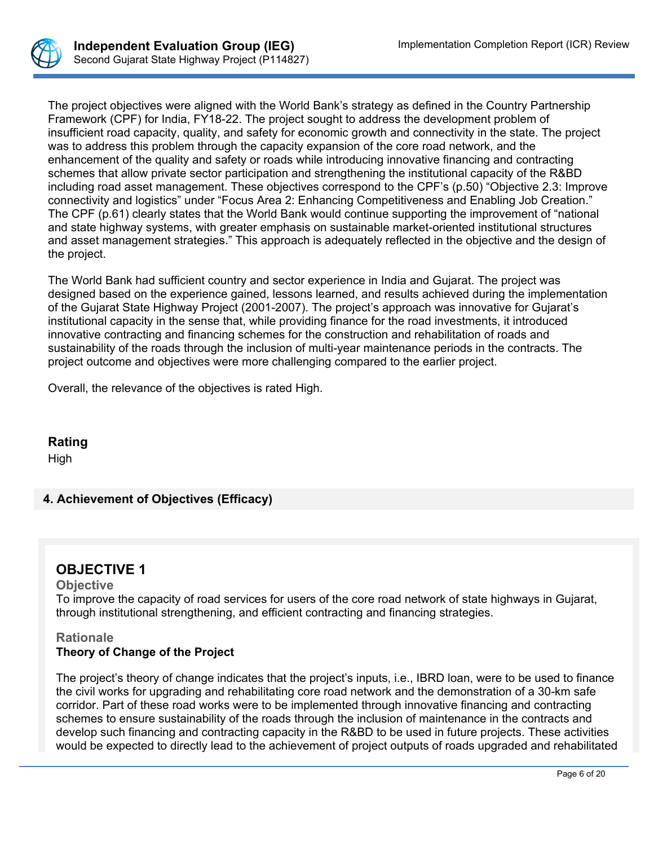

The project objectives were aligned with the World Bank's strategy as defined in the Country Partnership Framework (CPF) for India, FY18-22. The project sought to address the development problem of insufficient road capacity, quality, and safety for economic growth and connectivity in the state. The project was to address this problem through the capacity expansion of the core road network, and the enhancement of the quality and safety or roads while introducing innovative financing and contracting schemes that allow private sector participation and strengthening the institutional capacity of the R&BD including road asset management. These objectives correspond to the CPF's (p.50) "Objective 2.3: Improve connectivity and logistics" under "Focus Area 2: Enhancing Competitiveness and Enabling Job Creation." The CPF (p.61) clearly states that the World Bank would continue supporting the improvement of "national and state highway systems, with greater emphasis on sustainable market-oriented institutional structures and asset management strategies." This approach is adequately reflected in the objective and the design of the project.

The World Bank had sufficient country and sector experience in India and Gujarat. The project was designed based on the experience gained, lessons learned, and results achieved during the implementation of the Gujarat State Highway Project (2001-2007). The project's approach was innovative for Gujarat's institutional capacity in the sense that, while providing finance for the road investments, it introduced innovative contracting and financing schemes for the construction and rehabilitation of roads and sustainability of the roads through the inclusion of multi-year maintenance periods in the contracts. The project outcome and objectives were more challenging compared to the earlier project.

Overall, the relevance of the objectives is rated High.

## **Rating**

High

# **4. Achievement of Objectives (Efficacy)**

# **OBJECTIVE 1**

#### **Objective**

To improve the capacity of road services for users of the core road network of state highways in Gujarat, through institutional strengthening, and efficient contracting and financing strategies.

## **Rationale Theory of Change of the Project**

The project's theory of change indicates that the project's inputs, i.e., IBRD loan, were to be used to finance the civil works for upgrading and rehabilitating core road network and the demonstration of a 30-km safe corridor. Part of these road works were to be implemented through innovative financing and contracting schemes to ensure sustainability of the roads through the inclusion of maintenance in the contracts and develop such financing and contracting capacity in the R&BD to be used in future projects. These activities would be expected to directly lead to the achievement of project outputs of roads upgraded and rehabilitated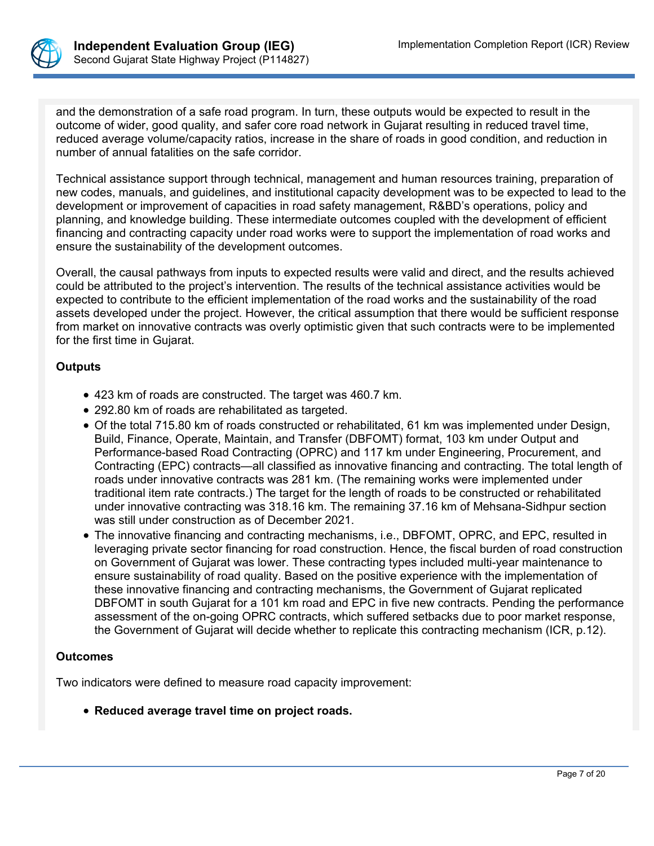

and the demonstration of a safe road program. In turn, these outputs would be expected to result in the outcome of wider, good quality, and safer core road network in Gujarat resulting in reduced travel time, reduced average volume/capacity ratios, increase in the share of roads in good condition, and reduction in number of annual fatalities on the safe corridor.

Technical assistance support through technical, management and human resources training, preparation of new codes, manuals, and guidelines, and institutional capacity development was to be expected to lead to the development or improvement of capacities in road safety management, R&BD's operations, policy and planning, and knowledge building. These intermediate outcomes coupled with the development of efficient financing and contracting capacity under road works were to support the implementation of road works and ensure the sustainability of the development outcomes.

Overall, the causal pathways from inputs to expected results were valid and direct, and the results achieved could be attributed to the project's intervention. The results of the technical assistance activities would be expected to contribute to the efficient implementation of the road works and the sustainability of the road assets developed under the project. However, the critical assumption that there would be sufficient response from market on innovative contracts was overly optimistic given that such contracts were to be implemented for the first time in Gujarat.

## **Outputs**

- 423 km of roads are constructed. The target was 460.7 km.
- 292.80 km of roads are rehabilitated as targeted.
- Of the total 715.80 km of roads constructed or rehabilitated, 61 km was implemented under Design, Build, Finance, Operate, Maintain, and Transfer (DBFOMT) format, 103 km under Output and Performance-based Road Contracting (OPRC) and 117 km under Engineering, Procurement, and Contracting (EPC) contracts—all classified as innovative financing and contracting. The total length of roads under innovative contracts was 281 km. (The remaining works were implemented under traditional item rate contracts.) The target for the length of roads to be constructed or rehabilitated under innovative contracting was 318.16 km. The remaining 37.16 km of Mehsana-Sidhpur section was still under construction as of December 2021.
- The innovative financing and contracting mechanisms, i.e., DBFOMT, OPRC, and EPC, resulted in leveraging private sector financing for road construction. Hence, the fiscal burden of road construction on Government of Gujarat was lower. These contracting types included multi-year maintenance to ensure sustainability of road quality. Based on the positive experience with the implementation of these innovative financing and contracting mechanisms, the Government of Gujarat replicated DBFOMT in south Gujarat for a 101 km road and EPC in five new contracts. Pending the performance assessment of the on-going OPRC contracts, which suffered setbacks due to poor market response, the Government of Gujarat will decide whether to replicate this contracting mechanism (ICR, p.12).

## **Outcomes**

Two indicators were defined to measure road capacity improvement:

**Reduced average travel time on project roads.**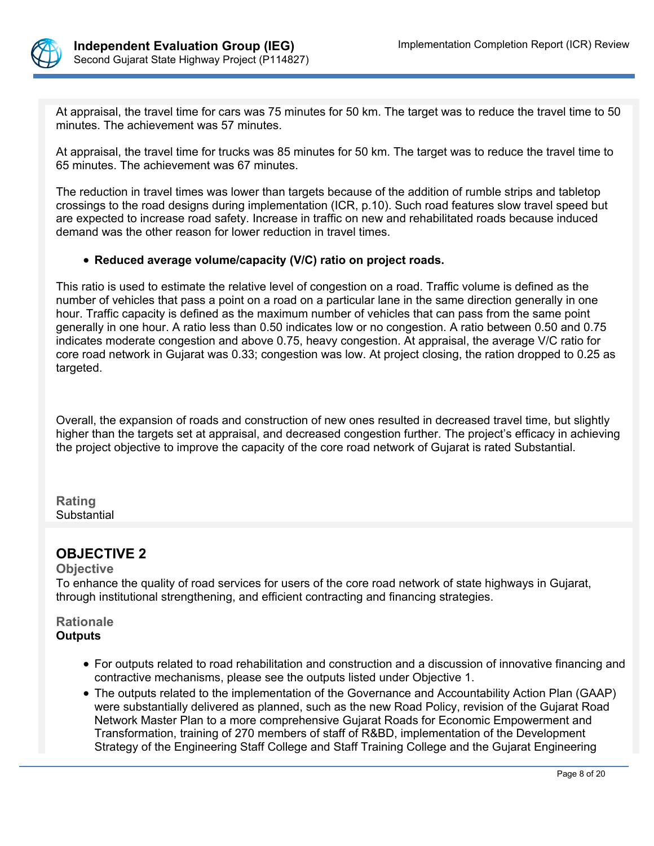

At appraisal, the travel time for cars was 75 minutes for 50 km. The target was to reduce the travel time to 50 minutes. The achievement was 57 minutes.

At appraisal, the travel time for trucks was 85 minutes for 50 km. The target was to reduce the travel time to 65 minutes. The achievement was 67 minutes.

The reduction in travel times was lower than targets because of the addition of rumble strips and tabletop crossings to the road designs during implementation (ICR, p.10). Such road features slow travel speed but are expected to increase road safety. Increase in traffic on new and rehabilitated roads because induced demand was the other reason for lower reduction in travel times.

## **Reduced average volume/capacity (V/C) ratio on project roads.**

This ratio is used to estimate the relative level of congestion on a road. Traffic volume is defined as the number of vehicles that pass a point on a road on a particular lane in the same direction generally in one hour. Traffic capacity is defined as the maximum number of vehicles that can pass from the same point generally in one hour. A ratio less than 0.50 indicates low or no congestion. A ratio between 0.50 and 0.75 indicates moderate congestion and above 0.75, heavy congestion. At appraisal, the average V/C ratio for core road network in Gujarat was 0.33; congestion was low. At project closing, the ration dropped to 0.25 as targeted.

Overall, the expansion of roads and construction of new ones resulted in decreased travel time, but slightly higher than the targets set at appraisal, and decreased congestion further. The project's efficacy in achieving the project objective to improve the capacity of the core road network of Gujarat is rated Substantial.

**Rating Substantial** 

# **OBJECTIVE 2**

## **Objective**

To enhance the quality of road services for users of the core road network of state highways in Gujarat, through institutional strengthening, and efficient contracting and financing strategies.

**Rationale Outputs**

- For outputs related to road rehabilitation and construction and a discussion of innovative financing and contractive mechanisms, please see the outputs listed under Objective 1.
- The outputs related to the implementation of the Governance and Accountability Action Plan (GAAP) were substantially delivered as planned, such as the new Road Policy, revision of the Gujarat Road Network Master Plan to a more comprehensive Gujarat Roads for Economic Empowerment and Transformation, training of 270 members of staff of R&BD, implementation of the Development Strategy of the Engineering Staff College and Staff Training College and the Gujarat Engineering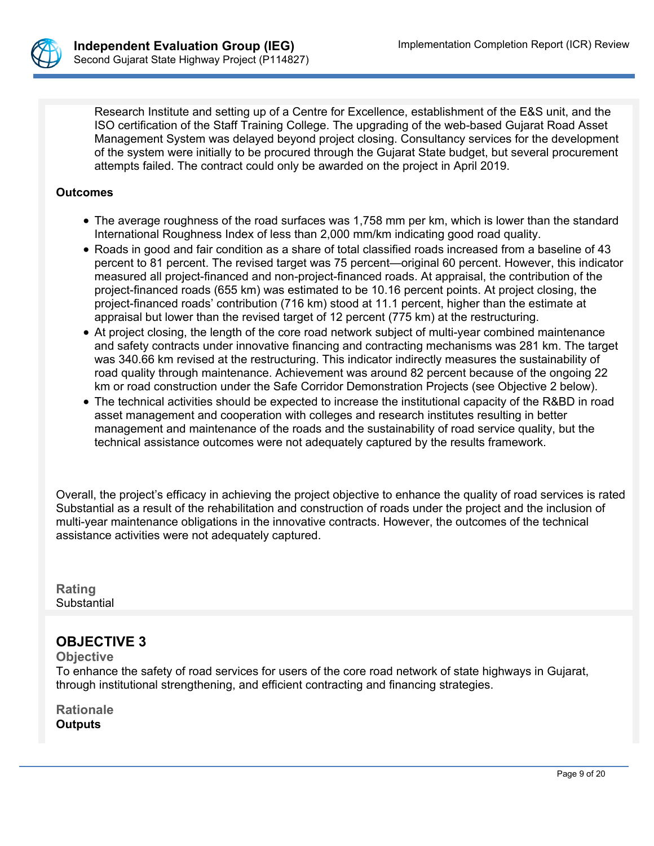

Research Institute and setting up of a Centre for Excellence, establishment of the E&S unit, and the ISO certification of the Staff Training College. The upgrading of the web-based Gujarat Road Asset Management System was delayed beyond project closing. Consultancy services for the development of the system were initially to be procured through the Gujarat State budget, but several procurement attempts failed. The contract could only be awarded on the project in April 2019.

#### **Outcomes**

- The average roughness of the road surfaces was 1,758 mm per km, which is lower than the standard International Roughness Index of less than 2,000 mm/km indicating good road quality.
- Roads in good and fair condition as a share of total classified roads increased from a baseline of 43 percent to 81 percent. The revised target was 75 percent—original 60 percent. However, this indicator measured all project-financed and non-project-financed roads. At appraisal, the contribution of the project-financed roads (655 km) was estimated to be 10.16 percent points. At project closing, the project-financed roads' contribution (716 km) stood at 11.1 percent, higher than the estimate at appraisal but lower than the revised target of 12 percent (775 km) at the restructuring.
- At project closing, the length of the core road network subject of multi-year combined maintenance and safety contracts under innovative financing and contracting mechanisms was 281 km. The target was 340.66 km revised at the restructuring. This indicator indirectly measures the sustainability of road quality through maintenance. Achievement was around 82 percent because of the ongoing 22 km or road construction under the Safe Corridor Demonstration Projects (see Objective 2 below).
- The technical activities should be expected to increase the institutional capacity of the R&BD in road asset management and cooperation with colleges and research institutes resulting in better management and maintenance of the roads and the sustainability of road service quality, but the technical assistance outcomes were not adequately captured by the results framework.

Overall, the project's efficacy in achieving the project objective to enhance the quality of road services is rated Substantial as a result of the rehabilitation and construction of roads under the project and the inclusion of multi-year maintenance obligations in the innovative contracts. However, the outcomes of the technical assistance activities were not adequately captured.

**Rating** Substantial

# **OBJECTIVE 3**

**Objective**

To enhance the safety of road services for users of the core road network of state highways in Gujarat, through institutional strengthening, and efficient contracting and financing strategies.

**Rationale Outputs**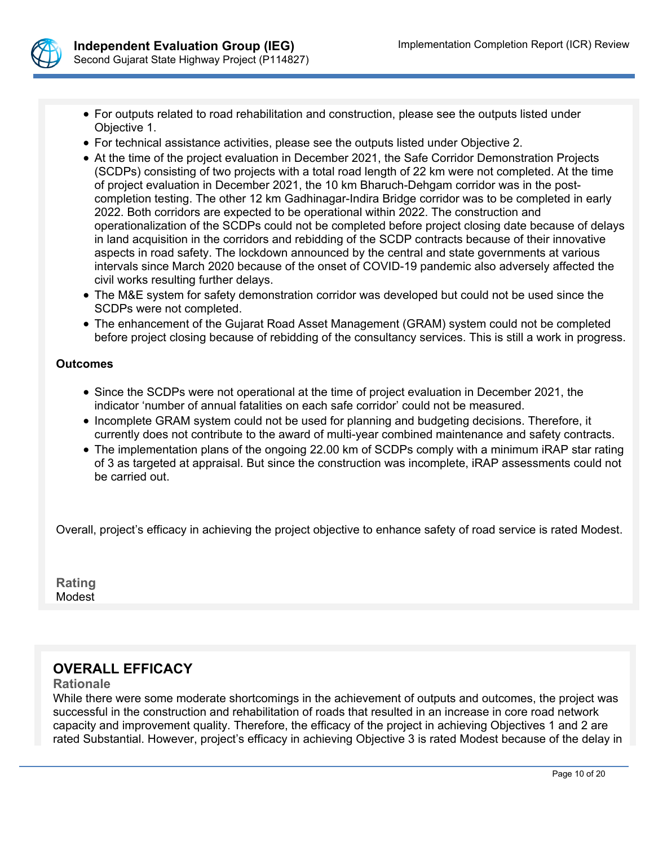

- For outputs related to road rehabilitation and construction, please see the outputs listed under Objective 1.
- For technical assistance activities, please see the outputs listed under Objective 2.
- At the time of the project evaluation in December 2021, the Safe Corridor Demonstration Projects (SCDPs) consisting of two projects with a total road length of 22 km were not completed. At the time of project evaluation in December 2021, the 10 km Bharuch-Dehgam corridor was in the postcompletion testing. The other 12 km Gadhinagar-Indira Bridge corridor was to be completed in early 2022. Both corridors are expected to be operational within 2022. The construction and operationalization of the SCDPs could not be completed before project closing date because of delays in land acquisition in the corridors and rebidding of the SCDP contracts because of their innovative aspects in road safety. The lockdown announced by the central and state governments at various intervals since March 2020 because of the onset of COVID-19 pandemic also adversely affected the civil works resulting further delays.
- The M&E system for safety demonstration corridor was developed but could not be used since the SCDPs were not completed.
- The enhancement of the Gujarat Road Asset Management (GRAM) system could not be completed before project closing because of rebidding of the consultancy services. This is still a work in progress.

#### **Outcomes**

- Since the SCDPs were not operational at the time of project evaluation in December 2021, the indicator 'number of annual fatalities on each safe corridor' could not be measured.
- Incomplete GRAM system could not be used for planning and budgeting decisions. Therefore, it currently does not contribute to the award of multi-year combined maintenance and safety contracts.
- The implementation plans of the ongoing 22.00 km of SCDPs comply with a minimum iRAP star rating of 3 as targeted at appraisal. But since the construction was incomplete, iRAP assessments could not be carried out.

Overall, project's efficacy in achieving the project objective to enhance safety of road service is rated Modest.

**Rating Modest** 

# **OVERALL EFFICACY**

#### **Rationale**

While there were some moderate shortcomings in the achievement of outputs and outcomes, the project was successful in the construction and rehabilitation of roads that resulted in an increase in core road network capacity and improvement quality. Therefore, the efficacy of the project in achieving Objectives 1 and 2 are rated Substantial. However, project's efficacy in achieving Objective 3 is rated Modest because of the delay in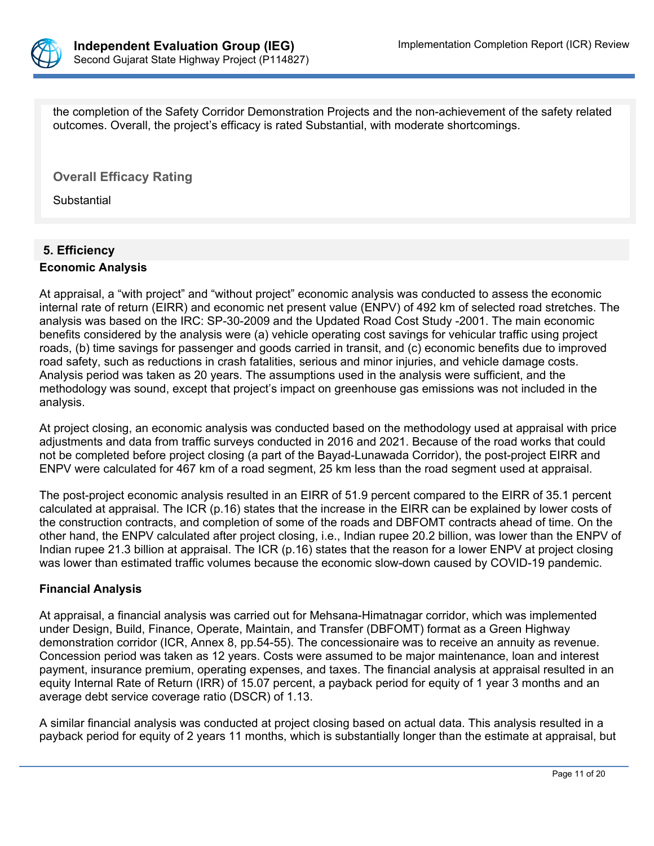

the completion of the Safety Corridor Demonstration Projects and the non-achievement of the safety related outcomes. Overall, the project's efficacy is rated Substantial, with moderate shortcomings.

**Overall Efficacy Rating**

**Substantial** 

# **5. Efficiency**

#### **Economic Analysis**

At appraisal, a "with project" and "without project" economic analysis was conducted to assess the economic internal rate of return (EIRR) and economic net present value (ENPV) of 492 km of selected road stretches. The analysis was based on the IRC: SP-30-2009 and the Updated Road Cost Study -2001. The main economic benefits considered by the analysis were (a) vehicle operating cost savings for vehicular traffic using project roads, (b) time savings for passenger and goods carried in transit, and (c) economic benefits due to improved road safety, such as reductions in crash fatalities, serious and minor injuries, and vehicle damage costs. Analysis period was taken as 20 years. The assumptions used in the analysis were sufficient, and the methodology was sound, except that project's impact on greenhouse gas emissions was not included in the analysis.

At project closing, an economic analysis was conducted based on the methodology used at appraisal with price adjustments and data from traffic surveys conducted in 2016 and 2021. Because of the road works that could not be completed before project closing (a part of the Bayad-Lunawada Corridor), the post-project EIRR and ENPV were calculated for 467 km of a road segment, 25 km less than the road segment used at appraisal.

The post-project economic analysis resulted in an EIRR of 51.9 percent compared to the EIRR of 35.1 percent calculated at appraisal. The ICR (p.16) states that the increase in the EIRR can be explained by lower costs of the construction contracts, and completion of some of the roads and DBFOMT contracts ahead of time. On the other hand, the ENPV calculated after project closing, i.e., Indian rupee 20.2 billion, was lower than the ENPV of Indian rupee 21.3 billion at appraisal. The ICR (p.16) states that the reason for a lower ENPV at project closing was lower than estimated traffic volumes because the economic slow-down caused by COVID-19 pandemic.

## **Financial Analysis**

At appraisal, a financial analysis was carried out for Mehsana-Himatnagar corridor, which was implemented under Design, Build, Finance, Operate, Maintain, and Transfer (DBFOMT) format as a Green Highway demonstration corridor (ICR, Annex 8, pp.54-55). The concessionaire was to receive an annuity as revenue. Concession period was taken as 12 years. Costs were assumed to be major maintenance, loan and interest payment, insurance premium, operating expenses, and taxes. The financial analysis at appraisal resulted in an equity Internal Rate of Return (IRR) of 15.07 percent, a payback period for equity of 1 year 3 months and an average debt service coverage ratio (DSCR) of 1.13.

A similar financial analysis was conducted at project closing based on actual data. This analysis resulted in a payback period for equity of 2 years 11 months, which is substantially longer than the estimate at appraisal, but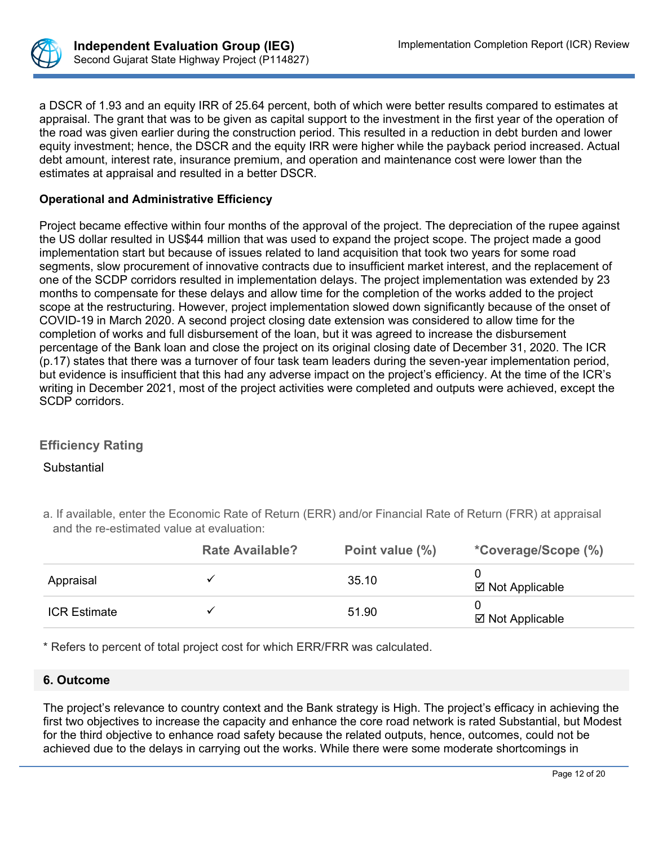

a DSCR of 1.93 and an equity IRR of 25.64 percent, both of which were better results compared to estimates at appraisal. The grant that was to be given as capital support to the investment in the first year of the operation of the road was given earlier during the construction period. This resulted in a reduction in debt burden and lower equity investment; hence, the DSCR and the equity IRR were higher while the payback period increased. Actual debt amount, interest rate, insurance premium, and operation and maintenance cost were lower than the estimates at appraisal and resulted in a better DSCR.

## **Operational and Administrative Efficiency**

Project became effective within four months of the approval of the project. The depreciation of the rupee against the US dollar resulted in US\$44 million that was used to expand the project scope. The project made a good implementation start but because of issues related to land acquisition that took two years for some road segments, slow procurement of innovative contracts due to insufficient market interest, and the replacement of one of the SCDP corridors resulted in implementation delays. The project implementation was extended by 23 months to compensate for these delays and allow time for the completion of the works added to the project scope at the restructuring. However, project implementation slowed down significantly because of the onset of COVID-19 in March 2020. A second project closing date extension was considered to allow time for the completion of works and full disbursement of the loan, but it was agreed to increase the disbursement percentage of the Bank loan and close the project on its original closing date of December 31, 2020. The ICR (p.17) states that there was a turnover of four task team leaders during the seven-year implementation period, but evidence is insufficient that this had any adverse impact on the project's efficiency. At the time of the ICR's writing in December 2021, most of the project activities were completed and outputs were achieved, except the SCDP corridors.

# **Efficiency Rating**

## Substantial

a. If available, enter the Economic Rate of Return (ERR) and/or Financial Rate of Return (FRR) at appraisal and the re-estimated value at evaluation:

|                     | <b>Rate Available?</b> | Point value (%) | *Coverage/Scope (%) |
|---------------------|------------------------|-----------------|---------------------|
| Appraisal           |                        | 35.10           | ⊠ Not Applicable    |
| <b>ICR Estimate</b> |                        | 51.90           | ⊠ Not Applicable    |

\* Refers to percent of total project cost for which ERR/FRR was calculated.

## **6. Outcome**

The project's relevance to country context and the Bank strategy is High. The project's efficacy in achieving the first two objectives to increase the capacity and enhance the core road network is rated Substantial, but Modest for the third objective to enhance road safety because the related outputs, hence, outcomes, could not be achieved due to the delays in carrying out the works. While there were some moderate shortcomings in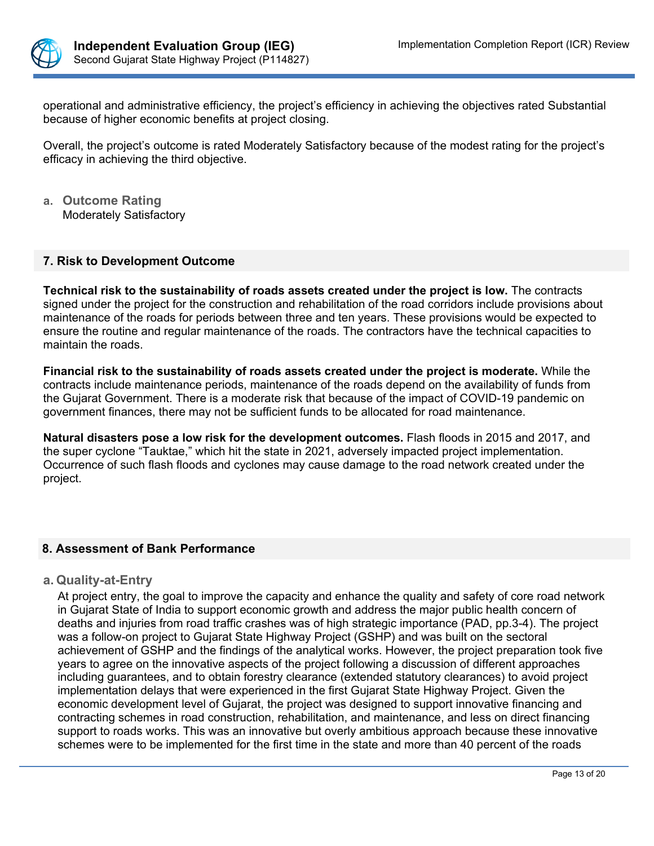

operational and administrative efficiency, the project's efficiency in achieving the objectives rated Substantial because of higher economic benefits at project closing.

Overall, the project's outcome is rated Moderately Satisfactory because of the modest rating for the project's efficacy in achieving the third objective.

**a. Outcome Rating** Moderately Satisfactory

#### **7. Risk to Development Outcome**

**Technical risk to the sustainability of roads assets created under the project is low.** The contracts signed under the project for the construction and rehabilitation of the road corridors include provisions about maintenance of the roads for periods between three and ten years. These provisions would be expected to ensure the routine and regular maintenance of the roads. The contractors have the technical capacities to maintain the roads.

**Financial risk to the sustainability of roads assets created under the project is moderate.** While the contracts include maintenance periods, maintenance of the roads depend on the availability of funds from the Gujarat Government. There is a moderate risk that because of the impact of COVID-19 pandemic on government finances, there may not be sufficient funds to be allocated for road maintenance.

**Natural disasters pose a low risk for the development outcomes.** Flash floods in 2015 and 2017, and the super cyclone "Tauktae," which hit the state in 2021, adversely impacted project implementation. Occurrence of such flash floods and cyclones may cause damage to the road network created under the project.

## **8. Assessment of Bank Performance**

## **a. Quality-at-Entry**

At project entry, the goal to improve the capacity and enhance the quality and safety of core road network in Gujarat State of India to support economic growth and address the major public health concern of deaths and injuries from road traffic crashes was of high strategic importance (PAD, pp.3-4). The project was a follow-on project to Gujarat State Highway Project (GSHP) and was built on the sectoral achievement of GSHP and the findings of the analytical works. However, the project preparation took five years to agree on the innovative aspects of the project following a discussion of different approaches including guarantees, and to obtain forestry clearance (extended statutory clearances) to avoid project implementation delays that were experienced in the first Gujarat State Highway Project. Given the economic development level of Gujarat, the project was designed to support innovative financing and contracting schemes in road construction, rehabilitation, and maintenance, and less on direct financing support to roads works. This was an innovative but overly ambitious approach because these innovative schemes were to be implemented for the first time in the state and more than 40 percent of the roads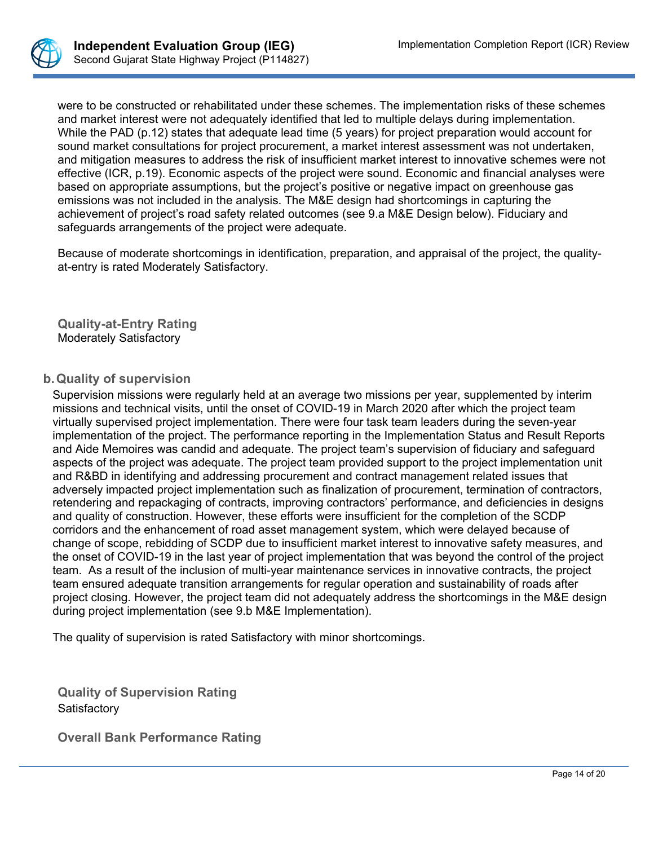

were to be constructed or rehabilitated under these schemes. The implementation risks of these schemes and market interest were not adequately identified that led to multiple delays during implementation. While the PAD (p.12) states that adequate lead time (5 years) for project preparation would account for sound market consultations for project procurement, a market interest assessment was not undertaken, and mitigation measures to address the risk of insufficient market interest to innovative schemes were not effective (ICR, p.19). Economic aspects of the project were sound. Economic and financial analyses were based on appropriate assumptions, but the project's positive or negative impact on greenhouse gas emissions was not included in the analysis. The M&E design had shortcomings in capturing the achievement of project's road safety related outcomes (see 9.a M&E Design below). Fiduciary and safeguards arrangements of the project were adequate.

Because of moderate shortcomings in identification, preparation, and appraisal of the project, the qualityat-entry is rated Moderately Satisfactory.

**Quality-at-Entry Rating** Moderately Satisfactory

## **b.Quality of supervision**

Supervision missions were regularly held at an average two missions per year, supplemented by interim missions and technical visits, until the onset of COVID-19 in March 2020 after which the project team virtually supervised project implementation. There were four task team leaders during the seven-year implementation of the project. The performance reporting in the Implementation Status and Result Reports and Aide Memoires was candid and adequate. The project team's supervision of fiduciary and safeguard aspects of the project was adequate. The project team provided support to the project implementation unit and R&BD in identifying and addressing procurement and contract management related issues that adversely impacted project implementation such as finalization of procurement, termination of contractors, retendering and repackaging of contracts, improving contractors' performance, and deficiencies in designs and quality of construction. However, these efforts were insufficient for the completion of the SCDP corridors and the enhancement of road asset management system, which were delayed because of change of scope, rebidding of SCDP due to insufficient market interest to innovative safety measures, and the onset of COVID-19 in the last year of project implementation that was beyond the control of the project team. As a result of the inclusion of multi-year maintenance services in innovative contracts, the project team ensured adequate transition arrangements for regular operation and sustainability of roads after project closing. However, the project team did not adequately address the shortcomings in the M&E design during project implementation (see 9.b M&E Implementation).

The quality of supervision is rated Satisfactory with minor shortcomings.

**Quality of Supervision Rating Satisfactory** 

**Overall Bank Performance Rating**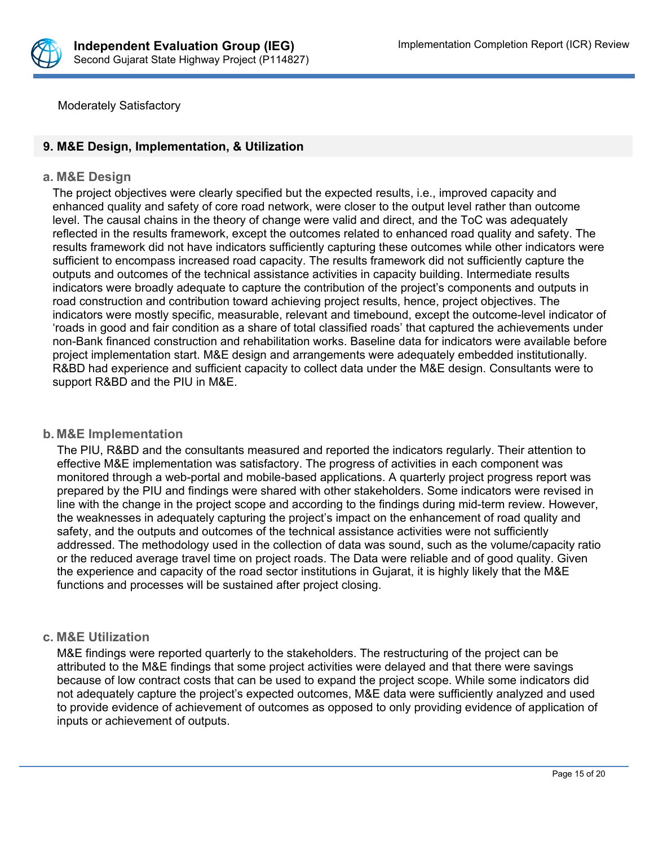

Moderately Satisfactory

## **9. M&E Design, Implementation, & Utilization**

#### **a. M&E Design**

The project objectives were clearly specified but the expected results, i.e., improved capacity and enhanced quality and safety of core road network, were closer to the output level rather than outcome level. The causal chains in the theory of change were valid and direct, and the ToC was adequately reflected in the results framework, except the outcomes related to enhanced road quality and safety. The results framework did not have indicators sufficiently capturing these outcomes while other indicators were sufficient to encompass increased road capacity. The results framework did not sufficiently capture the outputs and outcomes of the technical assistance activities in capacity building. Intermediate results indicators were broadly adequate to capture the contribution of the project's components and outputs in road construction and contribution toward achieving project results, hence, project objectives. The indicators were mostly specific, measurable, relevant and timebound, except the outcome-level indicator of 'roads in good and fair condition as a share of total classified roads' that captured the achievements under non-Bank financed construction and rehabilitation works. Baseline data for indicators were available before project implementation start. M&E design and arrangements were adequately embedded institutionally. R&BD had experience and sufficient capacity to collect data under the M&E design. Consultants were to support R&BD and the PIU in M&E.

## **b. M&E Implementation**

The PIU, R&BD and the consultants measured and reported the indicators regularly. Their attention to effective M&E implementation was satisfactory. The progress of activities in each component was monitored through a web-portal and mobile-based applications. A quarterly project progress report was prepared by the PIU and findings were shared with other stakeholders. Some indicators were revised in line with the change in the project scope and according to the findings during mid-term review. However, the weaknesses in adequately capturing the project's impact on the enhancement of road quality and safety, and the outputs and outcomes of the technical assistance activities were not sufficiently addressed. The methodology used in the collection of data was sound, such as the volume/capacity ratio or the reduced average travel time on project roads. The Data were reliable and of good quality. Given the experience and capacity of the road sector institutions in Gujarat, it is highly likely that the M&E functions and processes will be sustained after project closing.

#### **c. M&E Utilization**

M&E findings were reported quarterly to the stakeholders. The restructuring of the project can be attributed to the M&E findings that some project activities were delayed and that there were savings because of low contract costs that can be used to expand the project scope. While some indicators did not adequately capture the project's expected outcomes, M&E data were sufficiently analyzed and used to provide evidence of achievement of outcomes as opposed to only providing evidence of application of inputs or achievement of outputs.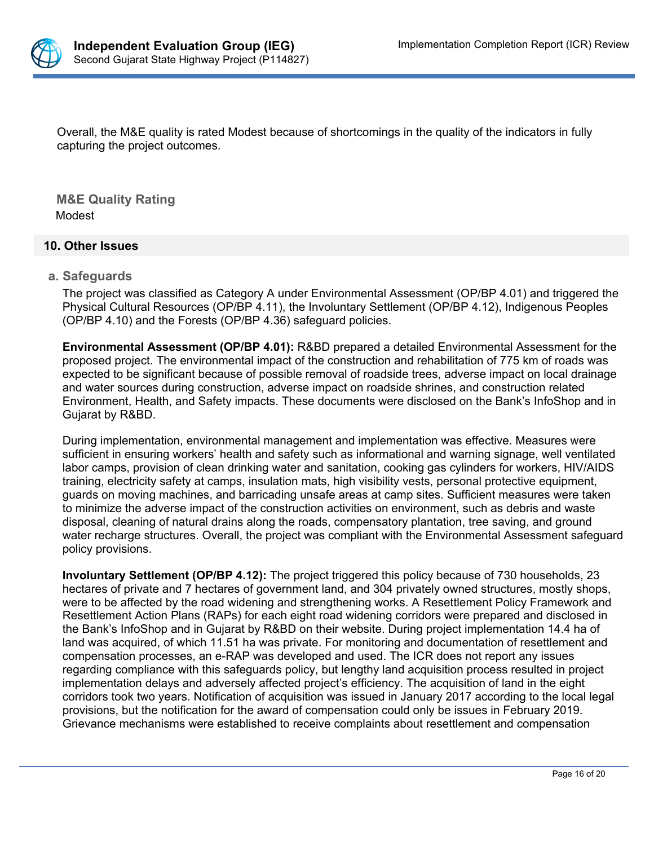

Overall, the M&E quality is rated Modest because of shortcomings in the quality of the indicators in fully capturing the project outcomes.

**M&E Quality Rating** Modest

## **10. Other Issues**

#### **a. Safeguards**

The project was classified as Category A under Environmental Assessment (OP/BP 4.01) and triggered the Physical Cultural Resources (OP/BP 4.11), the Involuntary Settlement (OP/BP 4.12), Indigenous Peoples (OP/BP 4.10) and the Forests (OP/BP 4.36) safeguard policies.

**Environmental Assessment (OP/BP 4.01):** R&BD prepared a detailed Environmental Assessment for the proposed project. The environmental impact of the construction and rehabilitation of 775 km of roads was expected to be significant because of possible removal of roadside trees, adverse impact on local drainage and water sources during construction, adverse impact on roadside shrines, and construction related Environment, Health, and Safety impacts. These documents were disclosed on the Bank's InfoShop and in Gujarat by R&BD.

During implementation, environmental management and implementation was effective. Measures were sufficient in ensuring workers' health and safety such as informational and warning signage, well ventilated labor camps, provision of clean drinking water and sanitation, cooking gas cylinders for workers, HIV/AIDS training, electricity safety at camps, insulation mats, high visibility vests, personal protective equipment, guards on moving machines, and barricading unsafe areas at camp sites. Sufficient measures were taken to minimize the adverse impact of the construction activities on environment, such as debris and waste disposal, cleaning of natural drains along the roads, compensatory plantation, tree saving, and ground water recharge structures. Overall, the project was compliant with the Environmental Assessment safeguard policy provisions.

**Involuntary Settlement (OP/BP 4.12):** The project triggered this policy because of 730 households, 23 hectares of private and 7 hectares of government land, and 304 privately owned structures, mostly shops, were to be affected by the road widening and strengthening works. A Resettlement Policy Framework and Resettlement Action Plans (RAPs) for each eight road widening corridors were prepared and disclosed in the Bank's InfoShop and in Gujarat by R&BD on their website. During project implementation 14.4 ha of land was acquired, of which 11.51 ha was private. For monitoring and documentation of resettlement and compensation processes, an e-RAP was developed and used. The ICR does not report any issues regarding compliance with this safeguards policy, but lengthy land acquisition process resulted in project implementation delays and adversely affected project's efficiency. The acquisition of land in the eight corridors took two years. Notification of acquisition was issued in January 2017 according to the local legal provisions, but the notification for the award of compensation could only be issues in February 2019. Grievance mechanisms were established to receive complaints about resettlement and compensation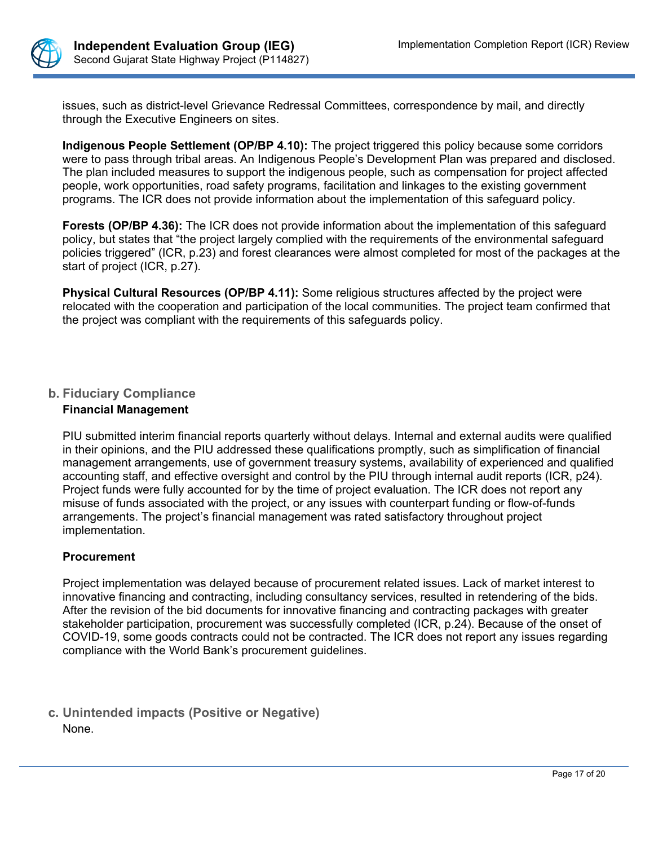

issues, such as district-level Grievance Redressal Committees, correspondence by mail, and directly through the Executive Engineers on sites.

**Indigenous People Settlement (OP/BP 4.10):** The project triggered this policy because some corridors were to pass through tribal areas. An Indigenous People's Development Plan was prepared and disclosed. The plan included measures to support the indigenous people, such as compensation for project affected people, work opportunities, road safety programs, facilitation and linkages to the existing government programs. The ICR does not provide information about the implementation of this safeguard policy.

**Forests (OP/BP 4.36):** The ICR does not provide information about the implementation of this safeguard policy, but states that "the project largely complied with the requirements of the environmental safeguard policies triggered" (ICR, p.23) and forest clearances were almost completed for most of the packages at the start of project (ICR, p.27).

**Physical Cultural Resources (OP/BP 4.11):** Some religious structures affected by the project were relocated with the cooperation and participation of the local communities. The project team confirmed that the project was compliant with the requirements of this safeguards policy.

## **b. Fiduciary Compliance Financial Management**

PIU submitted interim financial reports quarterly without delays. Internal and external audits were qualified in their opinions, and the PIU addressed these qualifications promptly, such as simplification of financial management arrangements, use of government treasury systems, availability of experienced and qualified accounting staff, and effective oversight and control by the PIU through internal audit reports (ICR, p24). Project funds were fully accounted for by the time of project evaluation. The ICR does not report any misuse of funds associated with the project, or any issues with counterpart funding or flow-of-funds arrangements. The project's financial management was rated satisfactory throughout project implementation.

# **Procurement**

Project implementation was delayed because of procurement related issues. Lack of market interest to innovative financing and contracting, including consultancy services, resulted in retendering of the bids. After the revision of the bid documents for innovative financing and contracting packages with greater stakeholder participation, procurement was successfully completed (ICR, p.24). Because of the onset of COVID-19, some goods contracts could not be contracted. The ICR does not report any issues regarding compliance with the World Bank's procurement guidelines.

**c. Unintended impacts (Positive or Negative)** None.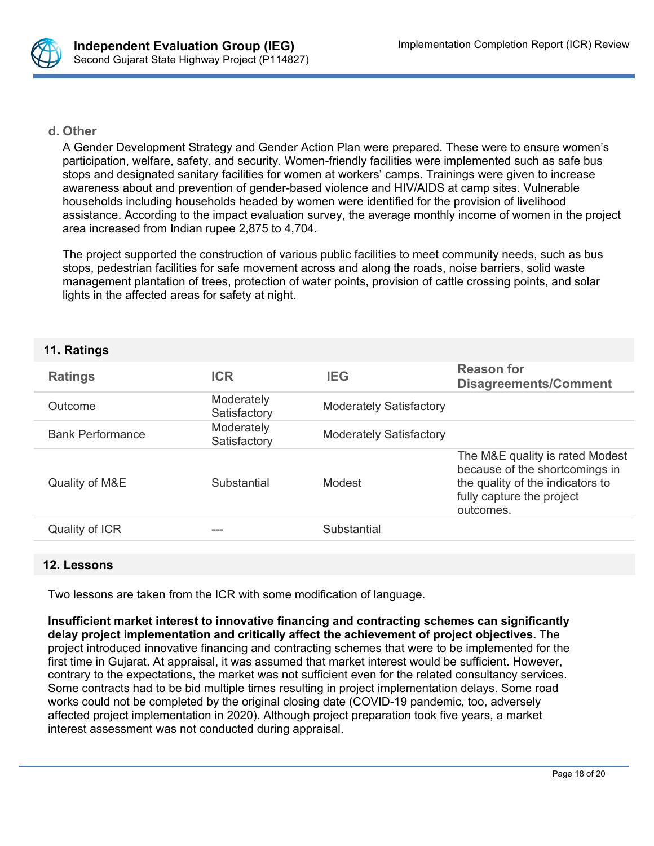

#### **d. Other**

A Gender Development Strategy and Gender Action Plan were prepared. These were to ensure women's participation, welfare, safety, and security. Women-friendly facilities were implemented such as safe bus stops and designated sanitary facilities for women at workers' camps. Trainings were given to increase awareness about and prevention of gender-based violence and HIV/AIDS at camp sites. Vulnerable households including households headed by women were identified for the provision of livelihood assistance. According to the impact evaluation survey, the average monthly income of women in the project area increased from Indian rupee 2,875 to 4,704.

The project supported the construction of various public facilities to meet community needs, such as bus stops, pedestrian facilities for safe movement across and along the roads, noise barriers, solid waste management plantation of trees, protection of water points, provision of cattle crossing points, and solar lights in the affected areas for safety at night.

#### **11. Ratings**

| <b>Ratings</b>          | <b>ICR</b>                 | IEG                            | <b>Reason for</b><br><b>Disagreements/Comment</b>                                                                                               |
|-------------------------|----------------------------|--------------------------------|-------------------------------------------------------------------------------------------------------------------------------------------------|
| Outcome                 | Moderately<br>Satisfactory | <b>Moderately Satisfactory</b> |                                                                                                                                                 |
| <b>Bank Performance</b> | Moderately<br>Satisfactory | <b>Moderately Satisfactory</b> |                                                                                                                                                 |
| Quality of M&E          | Substantial                | Modest                         | The M&E quality is rated Modest<br>because of the shortcomings in<br>the quality of the indicators to<br>fully capture the project<br>outcomes. |
| Quality of ICR          |                            | Substantial                    |                                                                                                                                                 |

#### **12. Lessons**

Two lessons are taken from the ICR with some modification of language.

**Insufficient market interest to innovative financing and contracting schemes can significantly delay project implementation and critically affect the achievement of project objectives.** The project introduced innovative financing and contracting schemes that were to be implemented for the first time in Gujarat. At appraisal, it was assumed that market interest would be sufficient. However, contrary to the expectations, the market was not sufficient even for the related consultancy services. Some contracts had to be bid multiple times resulting in project implementation delays. Some road works could not be completed by the original closing date (COVID-19 pandemic, too, adversely affected project implementation in 2020). Although project preparation took five years, a market interest assessment was not conducted during appraisal.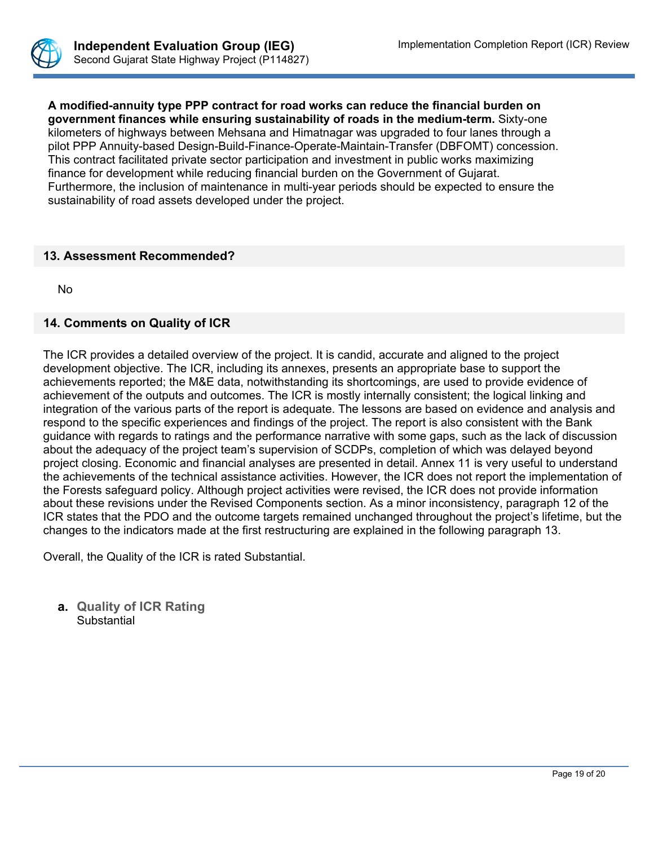

**A modified-annuity type PPP contract for road works can reduce the financial burden on government finances while ensuring sustainability of roads in the medium-term.** Sixty-one kilometers of highways between Mehsana and Himatnagar was upgraded to four lanes through a pilot PPP Annuity-based Design-Build-Finance-Operate-Maintain-Transfer (DBFOMT) concession. This contract facilitated private sector participation and investment in public works maximizing finance for development while reducing financial burden on the Government of Gujarat. Furthermore, the inclusion of maintenance in multi-year periods should be expected to ensure the sustainability of road assets developed under the project.

#### **13. Assessment Recommended?**

No

## **14. Comments on Quality of ICR**

The ICR provides a detailed overview of the project. It is candid, accurate and aligned to the project development objective. The ICR, including its annexes, presents an appropriate base to support the achievements reported; the M&E data, notwithstanding its shortcomings, are used to provide evidence of achievement of the outputs and outcomes. The ICR is mostly internally consistent; the logical linking and integration of the various parts of the report is adequate. The lessons are based on evidence and analysis and respond to the specific experiences and findings of the project. The report is also consistent with the Bank guidance with regards to ratings and the performance narrative with some gaps, such as the lack of discussion about the adequacy of the project team's supervision of SCDPs, completion of which was delayed beyond project closing. Economic and financial analyses are presented in detail. Annex 11 is very useful to understand the achievements of the technical assistance activities. However, the ICR does not report the implementation of the Forests safeguard policy. Although project activities were revised, the ICR does not provide information about these revisions under the Revised Components section. As a minor inconsistency, paragraph 12 of the ICR states that the PDO and the outcome targets remained unchanged throughout the project's lifetime, but the changes to the indicators made at the first restructuring are explained in the following paragraph 13.

Overall, the Quality of the ICR is rated Substantial.

**a. Quality of ICR Rating Substantial**